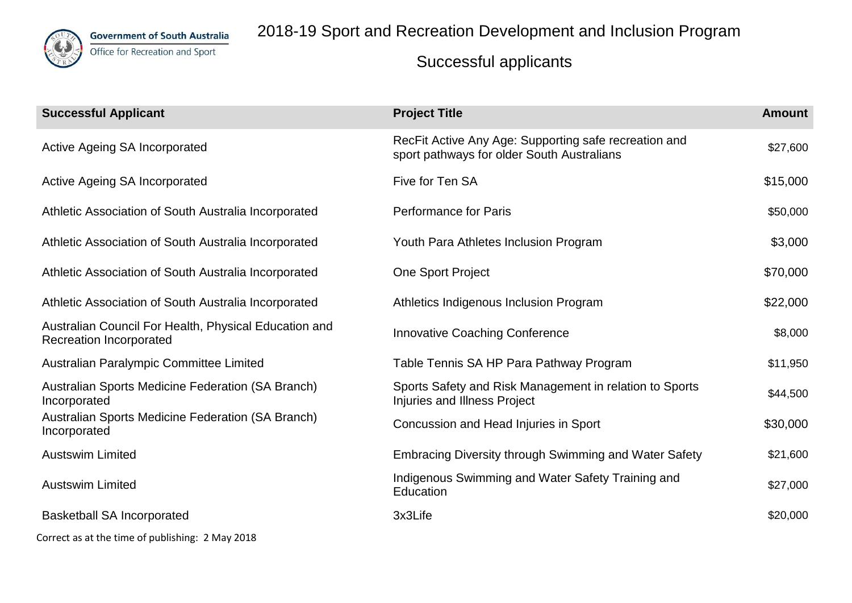

**Government of South Australia** 

Office for Recreation and Sport

# 2018-19 Sport and Recreation Development and Inclusion Program

| <b>Successful Applicant</b>                                                             | <b>Project Title</b>                                                                                | <b>Amount</b> |
|-----------------------------------------------------------------------------------------|-----------------------------------------------------------------------------------------------------|---------------|
| Active Ageing SA Incorporated                                                           | RecFit Active Any Age: Supporting safe recreation and<br>sport pathways for older South Australians | \$27,600      |
| Active Ageing SA Incorporated                                                           | Five for Ten SA                                                                                     | \$15,000      |
| Athletic Association of South Australia Incorporated                                    | <b>Performance for Paris</b>                                                                        | \$50,000      |
| Athletic Association of South Australia Incorporated                                    | Youth Para Athletes Inclusion Program                                                               | \$3,000       |
| Athletic Association of South Australia Incorporated                                    | One Sport Project                                                                                   | \$70,000      |
| Athletic Association of South Australia Incorporated                                    | Athletics Indigenous Inclusion Program                                                              | \$22,000      |
| Australian Council For Health, Physical Education and<br><b>Recreation Incorporated</b> | <b>Innovative Coaching Conference</b>                                                               | \$8,000       |
| Australian Paralympic Committee Limited                                                 | Table Tennis SA HP Para Pathway Program                                                             | \$11,950      |
| Australian Sports Medicine Federation (SA Branch)<br>Incorporated                       | Sports Safety and Risk Management in relation to Sports<br><b>Injuries and Illness Project</b>      | \$44,500      |
| Australian Sports Medicine Federation (SA Branch)<br>Incorporated                       | Concussion and Head Injuries in Sport                                                               | \$30,000      |
| <b>Austswim Limited</b>                                                                 | <b>Embracing Diversity through Swimming and Water Safety</b>                                        | \$21,600      |
| <b>Austswim Limited</b>                                                                 | Indigenous Swimming and Water Safety Training and<br>Education                                      | \$27,000      |
| <b>Basketball SA Incorporated</b>                                                       | 3x3Life                                                                                             | \$20,000      |
| Correct as at the time of publishing: 2 May 2018                                        |                                                                                                     |               |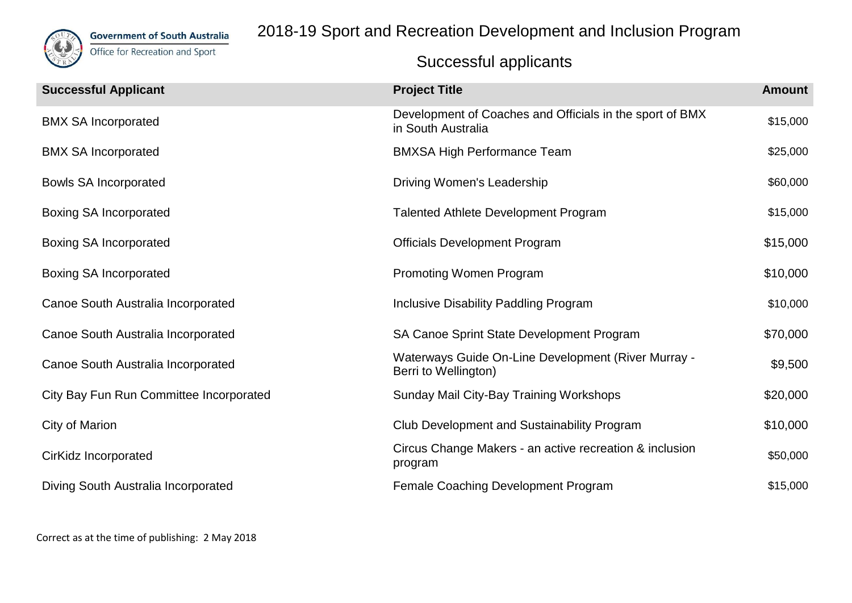

**Government of South Australia** 

Office for Recreation and Sport

# 2018-19 Sport and Recreation Development and Inclusion Program

| <b>Successful Applicant</b>             | <b>Project Title</b>                                                           | <b>Amount</b> |
|-----------------------------------------|--------------------------------------------------------------------------------|---------------|
| <b>BMX SA Incorporated</b>              | Development of Coaches and Officials in the sport of BMX<br>in South Australia | \$15,000      |
| <b>BMX SA Incorporated</b>              | <b>BMXSA High Performance Team</b>                                             | \$25,000      |
| <b>Bowls SA Incorporated</b>            | Driving Women's Leadership                                                     | \$60,000      |
| <b>Boxing SA Incorporated</b>           | <b>Talented Athlete Development Program</b>                                    | \$15,000      |
| <b>Boxing SA Incorporated</b>           | <b>Officials Development Program</b>                                           | \$15,000      |
| <b>Boxing SA Incorporated</b>           | <b>Promoting Women Program</b>                                                 | \$10,000      |
| Canoe South Australia Incorporated      | Inclusive Disability Paddling Program                                          | \$10,000      |
| Canoe South Australia Incorporated      | SA Canoe Sprint State Development Program                                      | \$70,000      |
| Canoe South Australia Incorporated      | Waterways Guide On-Line Development (River Murray -<br>Berri to Wellington)    | \$9,500       |
| City Bay Fun Run Committee Incorporated | Sunday Mail City-Bay Training Workshops                                        | \$20,000      |
| City of Marion                          | <b>Club Development and Sustainability Program</b>                             | \$10,000      |
| CirKidz Incorporated                    | Circus Change Makers - an active recreation & inclusion<br>program             | \$50,000      |
| Diving South Australia Incorporated     | Female Coaching Development Program                                            | \$15,000      |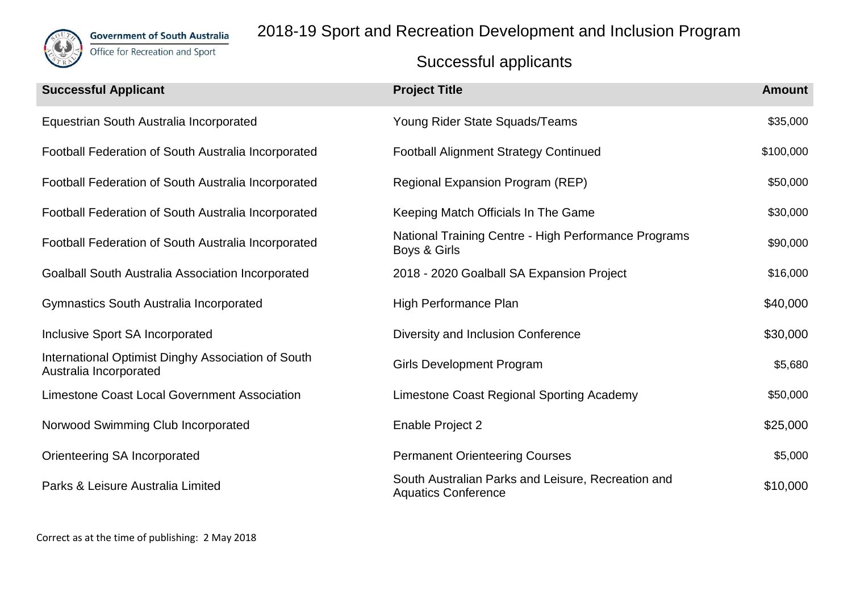

2018-19 Sport and Recreation Development and Inclusion Program

| <b>Successful Applicant</b>                                                  | <b>Project Title</b>                                                             | <b>Amount</b> |
|------------------------------------------------------------------------------|----------------------------------------------------------------------------------|---------------|
| Equestrian South Australia Incorporated                                      | Young Rider State Squads/Teams                                                   | \$35,000      |
| Football Federation of South Australia Incorporated                          | <b>Football Alignment Strategy Continued</b>                                     | \$100,000     |
| Football Federation of South Australia Incorporated                          | Regional Expansion Program (REP)                                                 | \$50,000      |
| Football Federation of South Australia Incorporated                          | Keeping Match Officials In The Game                                              | \$30,000      |
| Football Federation of South Australia Incorporated                          | National Training Centre - High Performance Programs<br>Boys & Girls             | \$90,000      |
| <b>Goalball South Australia Association Incorporated</b>                     | 2018 - 2020 Goalball SA Expansion Project                                        | \$16,000      |
| Gymnastics South Australia Incorporated                                      | High Performance Plan                                                            | \$40,000      |
| Inclusive Sport SA Incorporated                                              | Diversity and Inclusion Conference                                               | \$30,000      |
| International Optimist Dinghy Association of South<br>Australia Incorporated | <b>Girls Development Program</b>                                                 | \$5,680       |
| <b>Limestone Coast Local Government Association</b>                          | Limestone Coast Regional Sporting Academy                                        | \$50,000      |
| Norwood Swimming Club Incorporated                                           | Enable Project 2                                                                 | \$25,000      |
| Orienteering SA Incorporated                                                 | <b>Permanent Orienteering Courses</b>                                            | \$5,000       |
| Parks & Leisure Australia Limited                                            | South Australian Parks and Leisure, Recreation and<br><b>Aquatics Conference</b> | \$10,000      |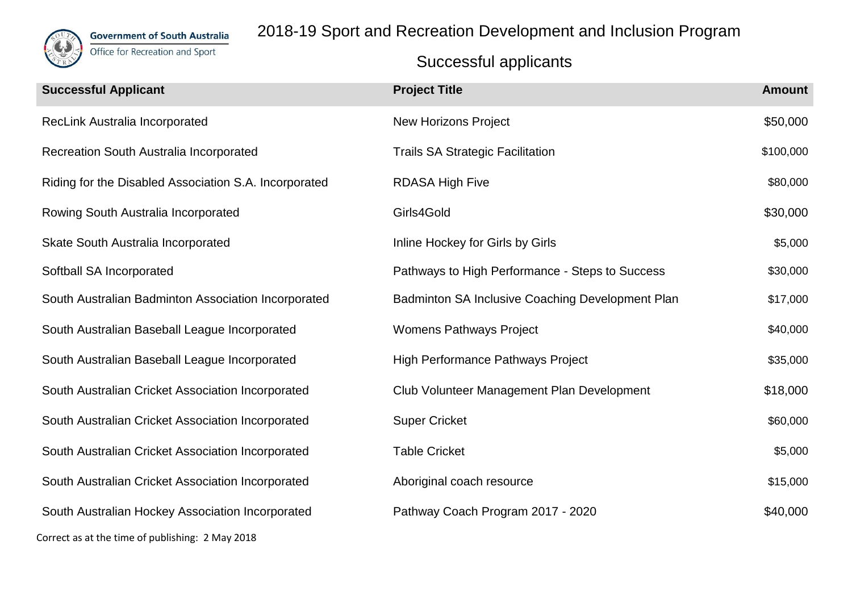

2018-19 Sport and Recreation Development and Inclusion Program

| <b>Successful Applicant</b>                           | <b>Project Title</b>                             | <b>Amount</b> |
|-------------------------------------------------------|--------------------------------------------------|---------------|
| RecLink Australia Incorporated                        | <b>New Horizons Project</b>                      | \$50,000      |
| Recreation South Australia Incorporated               | <b>Trails SA Strategic Facilitation</b>          | \$100,000     |
| Riding for the Disabled Association S.A. Incorporated | <b>RDASA High Five</b>                           | \$80,000      |
| Rowing South Australia Incorporated                   | Girls4Gold                                       | \$30,000      |
| Skate South Australia Incorporated                    | Inline Hockey for Girls by Girls                 | \$5,000       |
| Softball SA Incorporated                              | Pathways to High Performance - Steps to Success  | \$30,000      |
| South Australian Badminton Association Incorporated   | Badminton SA Inclusive Coaching Development Plan | \$17,000      |
| South Australian Baseball League Incorporated         | <b>Womens Pathways Project</b>                   | \$40,000      |
| South Australian Baseball League Incorporated         | <b>High Performance Pathways Project</b>         | \$35,000      |
| South Australian Cricket Association Incorporated     | Club Volunteer Management Plan Development       | \$18,000      |
| South Australian Cricket Association Incorporated     | <b>Super Cricket</b>                             | \$60,000      |
| South Australian Cricket Association Incorporated     | <b>Table Cricket</b>                             | \$5,000       |
| South Australian Cricket Association Incorporated     | Aboriginal coach resource                        | \$15,000      |
| South Australian Hockey Association Incorporated      | Pathway Coach Program 2017 - 2020                | \$40,000      |
| Correct as at the time of publishing: 2 May 2018      |                                                  |               |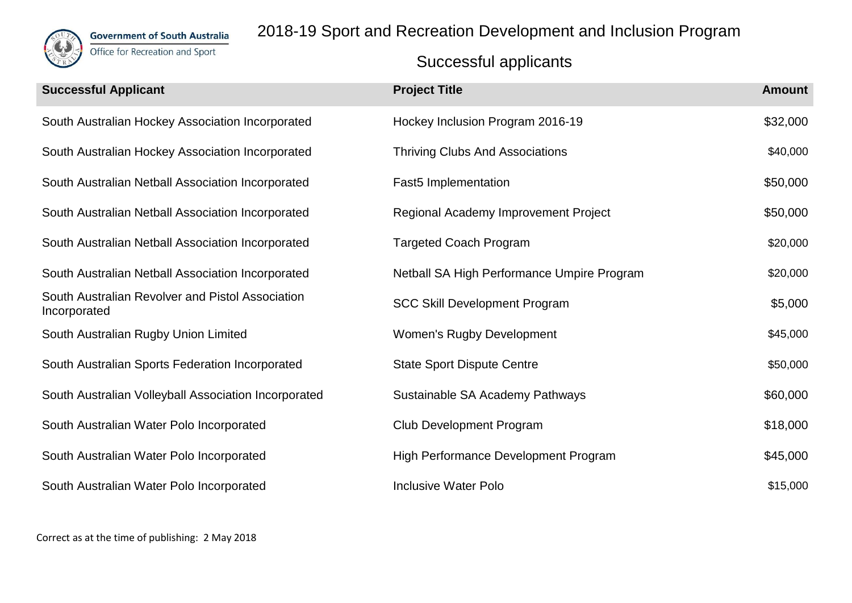

2018-19 Sport and Recreation Development and Inclusion Program

| <b>Successful Applicant</b>                                      | <b>Project Title</b>                       | <b>Amount</b> |
|------------------------------------------------------------------|--------------------------------------------|---------------|
| South Australian Hockey Association Incorporated                 | Hockey Inclusion Program 2016-19           | \$32,000      |
| South Australian Hockey Association Incorporated                 | <b>Thriving Clubs And Associations</b>     | \$40,000      |
| South Australian Netball Association Incorporated                | <b>Fast5</b> Implementation                | \$50,000      |
| South Australian Netball Association Incorporated                | Regional Academy Improvement Project       | \$50,000      |
| South Australian Netball Association Incorporated                | <b>Targeted Coach Program</b>              | \$20,000      |
| South Australian Netball Association Incorporated                | Netball SA High Performance Umpire Program | \$20,000      |
| South Australian Revolver and Pistol Association<br>Incorporated | <b>SCC Skill Development Program</b>       | \$5,000       |
| South Australian Rugby Union Limited                             | <b>Women's Rugby Development</b>           | \$45,000      |
| South Australian Sports Federation Incorporated                  | <b>State Sport Dispute Centre</b>          | \$50,000      |
| South Australian Volleyball Association Incorporated             | Sustainable SA Academy Pathways            | \$60,000      |
| South Australian Water Polo Incorporated                         | <b>Club Development Program</b>            | \$18,000      |
| South Australian Water Polo Incorporated                         | High Performance Development Program       | \$45,000      |
| South Australian Water Polo Incorporated                         | <b>Inclusive Water Polo</b>                | \$15,000      |
|                                                                  |                                            |               |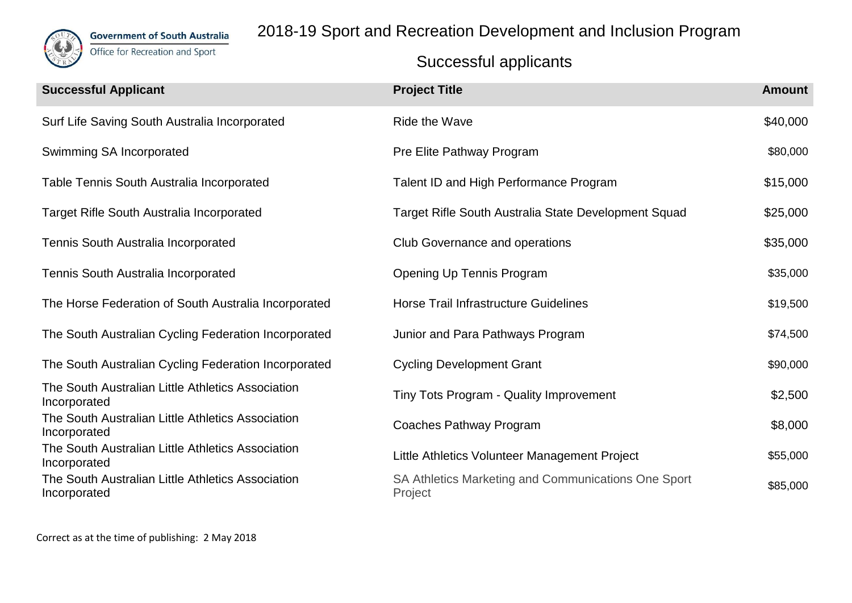

2018-19 Sport and Recreation Development and Inclusion Program

| <b>Project Title</b>                                           | <b>Amount</b> |
|----------------------------------------------------------------|---------------|
| Ride the Wave                                                  | \$40,000      |
| Pre Elite Pathway Program                                      | \$80,000      |
| Talent ID and High Performance Program                         | \$15,000      |
| Target Rifle South Australia State Development Squad           | \$25,000      |
| Club Governance and operations                                 | \$35,000      |
| Opening Up Tennis Program                                      | \$35,000      |
| Horse Trail Infrastructure Guidelines                          | \$19,500      |
| Junior and Para Pathways Program                               | \$74,500      |
| <b>Cycling Development Grant</b>                               | \$90,000      |
| Tiny Tots Program - Quality Improvement                        | \$2,500       |
| Coaches Pathway Program                                        | \$8,000       |
| Little Athletics Volunteer Management Project                  | \$55,000      |
| SA Athletics Marketing and Communications One Sport<br>Project | \$85,000      |
|                                                                |               |